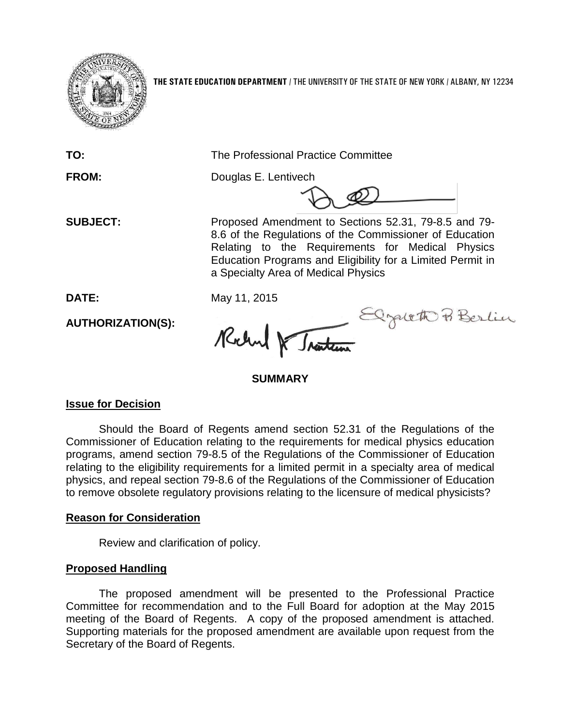

**THE STATE EDUCATION DEPARTMENT** / THE UNIVERSITY OF THE STATE OF NEW YORK / ALBANY, NY 12234

**TO:** The Professional Practice Committee

**FROM:** Douglas E. Lentivech

**SUBJECT:** Proposed Amendment to Sections 52.31, 79-8.5 and 79- 8.6 of the Regulations of the Commissioner of Education Relating to the Requirements for Medical Physics Education Programs and Eligibility for a Limited Permit in a Specialty Area of Medical Physics

**DATE:** May 11, 2015

**AUTHORIZATION(S):**

Traiten Elgalett Berlin Richard DE

**SUMMARY**

# **Issue for Decision**

Should the Board of Regents amend section 52.31 of the Regulations of the Commissioner of Education relating to the requirements for medical physics education programs, amend section 79-8.5 of the Regulations of the Commissioner of Education relating to the eligibility requirements for a limited permit in a specialty area of medical physics, and repeal section 79-8.6 of the Regulations of the Commissioner of Education to remove obsolete regulatory provisions relating to the licensure of medical physicists?

# **Reason for Consideration**

Review and clarification of policy.

# **Proposed Handling**

The proposed amendment will be presented to the Professional Practice Committee for recommendation and to the Full Board for adoption at the May 2015 meeting of the Board of Regents. A copy of the proposed amendment is attached. Supporting materials for the proposed amendment are available upon request from the Secretary of the Board of Regents.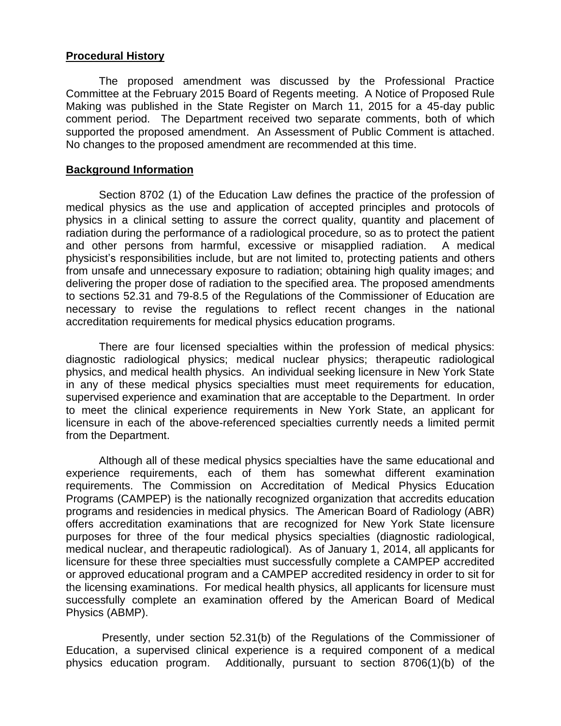## **Procedural History**

The proposed amendment was discussed by the Professional Practice Committee at the February 2015 Board of Regents meeting. A Notice of Proposed Rule Making was published in the State Register on March 11, 2015 for a 45-day public comment period. The Department received two separate comments, both of which supported the proposed amendment. An Assessment of Public Comment is attached. No changes to the proposed amendment are recommended at this time.

## **Background Information**

Section 8702 (1) of the Education Law defines the practice of the profession of medical physics as the use and application of accepted principles and protocols of physics in a clinical setting to assure the correct quality, quantity and placement of radiation during the performance of a radiological procedure, so as to protect the patient and other persons from harmful, excessive or misapplied radiation. A medical physicist's responsibilities include, but are not limited to, protecting patients and others from unsafe and unnecessary exposure to radiation; obtaining high quality images; and delivering the proper dose of radiation to the specified area. The proposed amendments to sections 52.31 and 79-8.5 of the Regulations of the Commissioner of Education are necessary to revise the regulations to reflect recent changes in the national accreditation requirements for medical physics education programs.

There are four licensed specialties within the profession of medical physics: diagnostic radiological physics; medical nuclear physics; therapeutic radiological physics, and medical health physics. An individual seeking licensure in New York State in any of these medical physics specialties must meet requirements for education, supervised experience and examination that are acceptable to the Department. In order to meet the clinical experience requirements in New York State, an applicant for licensure in each of the above-referenced specialties currently needs a limited permit from the Department.

Although all of these medical physics specialties have the same educational and experience requirements, each of them has somewhat different examination requirements. The Commission on Accreditation of Medical Physics Education Programs (CAMPEP) is the nationally recognized organization that accredits education programs and residencies in medical physics. The American Board of Radiology (ABR) offers accreditation examinations that are recognized for New York State licensure purposes for three of the four medical physics specialties (diagnostic radiological, medical nuclear, and therapeutic radiological). As of January 1, 2014, all applicants for licensure for these three specialties must successfully complete a CAMPEP accredited or approved educational program and a CAMPEP accredited residency in order to sit for the licensing examinations. For medical health physics, all applicants for licensure must successfully complete an examination offered by the American Board of Medical Physics (ABMP).

Presently, under section 52.31(b) of the Regulations of the Commissioner of Education, a supervised clinical experience is a required component of a medical physics education program. Additionally, pursuant to section 8706(1)(b) of the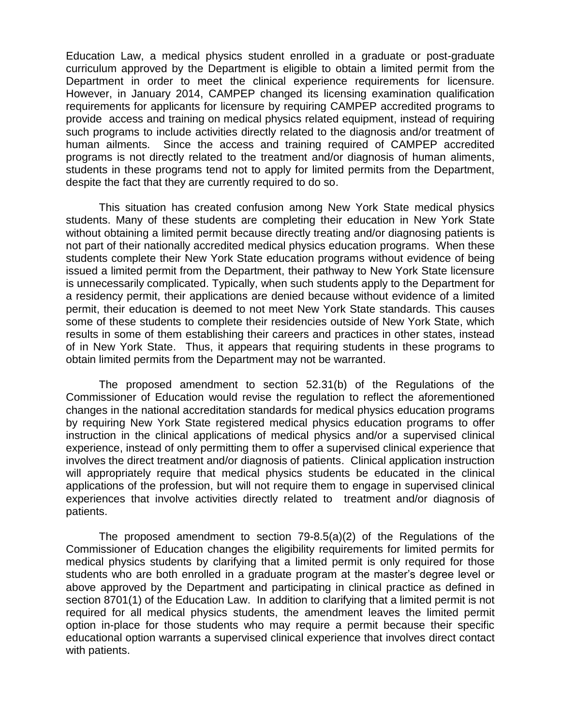Education Law, a medical physics student enrolled in a graduate or post-graduate curriculum approved by the Department is eligible to obtain a limited permit from the Department in order to meet the clinical experience requirements for licensure. However, in January 2014, CAMPEP changed its licensing examination qualification requirements for applicants for licensure by requiring CAMPEP accredited programs to provide access and training on medical physics related equipment, instead of requiring such programs to include activities directly related to the diagnosis and/or treatment of human ailments. Since the access and training required of CAMPEP accredited programs is not directly related to the treatment and/or diagnosis of human aliments, students in these programs tend not to apply for limited permits from the Department, despite the fact that they are currently required to do so.

This situation has created confusion among New York State medical physics students. Many of these students are completing their education in New York State without obtaining a limited permit because directly treating and/or diagnosing patients is not part of their nationally accredited medical physics education programs. When these students complete their New York State education programs without evidence of being issued a limited permit from the Department, their pathway to New York State licensure is unnecessarily complicated. Typically, when such students apply to the Department for a residency permit, their applications are denied because without evidence of a limited permit, their education is deemed to not meet New York State standards. This causes some of these students to complete their residencies outside of New York State, which results in some of them establishing their careers and practices in other states, instead of in New York State. Thus, it appears that requiring students in these programs to obtain limited permits from the Department may not be warranted.

The proposed amendment to section 52.31(b) of the Regulations of the Commissioner of Education would revise the regulation to reflect the aforementioned changes in the national accreditation standards for medical physics education programs by requiring New York State registered medical physics education programs to offer instruction in the clinical applications of medical physics and/or a supervised clinical experience, instead of only permitting them to offer a supervised clinical experience that involves the direct treatment and/or diagnosis of patients. Clinical application instruction will appropriately require that medical physics students be educated in the clinical applications of the profession, but will not require them to engage in supervised clinical experiences that involve activities directly related to treatment and/or diagnosis of patients.

The proposed amendment to section 79-8.5(a)(2) of the Regulations of the Commissioner of Education changes the eligibility requirements for limited permits for medical physics students by clarifying that a limited permit is only required for those students who are both enrolled in a graduate program at the master's degree level or above approved by the Department and participating in clinical practice as defined in section 8701(1) of the Education Law. In addition to clarifying that a limited permit is not required for all medical physics students, the amendment leaves the limited permit option in-place for those students who may require a permit because their specific educational option warrants a supervised clinical experience that involves direct contact with patients.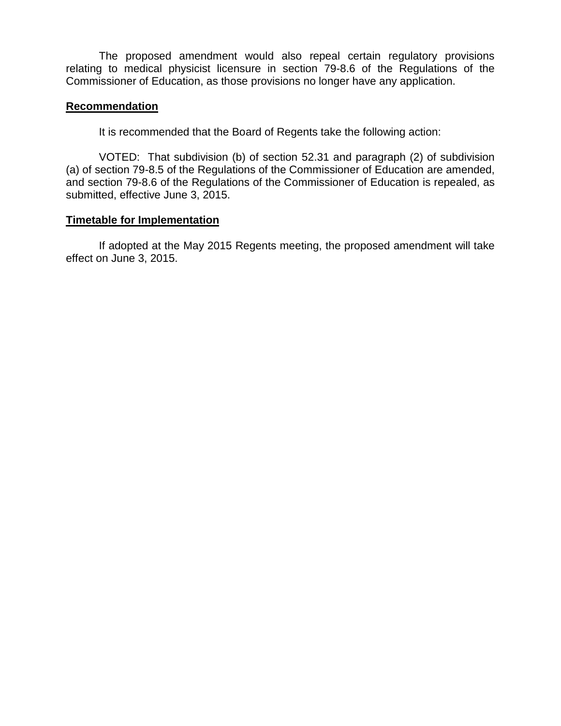The proposed amendment would also repeal certain regulatory provisions relating to medical physicist licensure in section 79-8.6 of the Regulations of the Commissioner of Education, as those provisions no longer have any application.

### **Recommendation**

It is recommended that the Board of Regents take the following action:

VOTED: That subdivision (b) of section 52.31 and paragraph (2) of subdivision (a) of section 79-8.5 of the Regulations of the Commissioner of Education are amended, and section 79-8.6 of the Regulations of the Commissioner of Education is repealed, as submitted, effective June 3, 2015.

## **Timetable for Implementation**

If adopted at the May 2015 Regents meeting, the proposed amendment will take effect on June 3, 2015.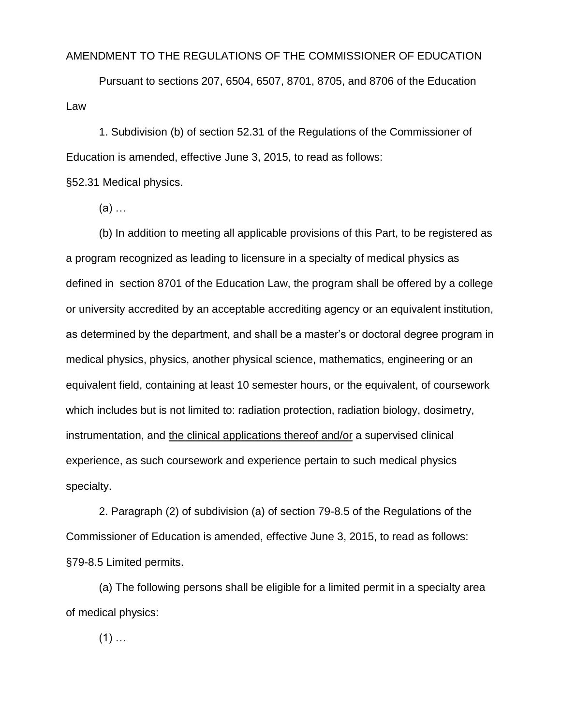#### AMENDMENT TO THE REGULATIONS OF THE COMMISSIONER OF EDUCATION

Pursuant to sections 207, 6504, 6507, 8701, 8705, and 8706 of the Education Law

1. Subdivision (b) of section 52.31 of the Regulations of the Commissioner of Education is amended, effective June 3, 2015, to read as follows:

§52.31 Medical physics.

(a) …

(b) In addition to meeting all applicable provisions of this Part, to be registered as a program recognized as leading to licensure in a specialty of medical physics as defined in section 8701 of the Education Law, the program shall be offered by a college or university accredited by an acceptable accrediting agency or an equivalent institution, as determined by the department, and shall be a master's or doctoral degree program in medical physics, physics, another physical science, mathematics, engineering or an equivalent field, containing at least 10 semester hours, or the equivalent, of coursework which includes but is not limited to: radiation protection, radiation biology, dosimetry, instrumentation, and the clinical applications thereof and/or a supervised clinical experience, as such coursework and experience pertain to such medical physics specialty.

2. Paragraph (2) of subdivision (a) of section 79-8.5 of the Regulations of the Commissioner of Education is amended, effective June 3, 2015, to read as follows: §79-8.5 Limited permits.

(a) The following persons shall be eligible for a limited permit in a specialty area of medical physics:

 $(1)$  ...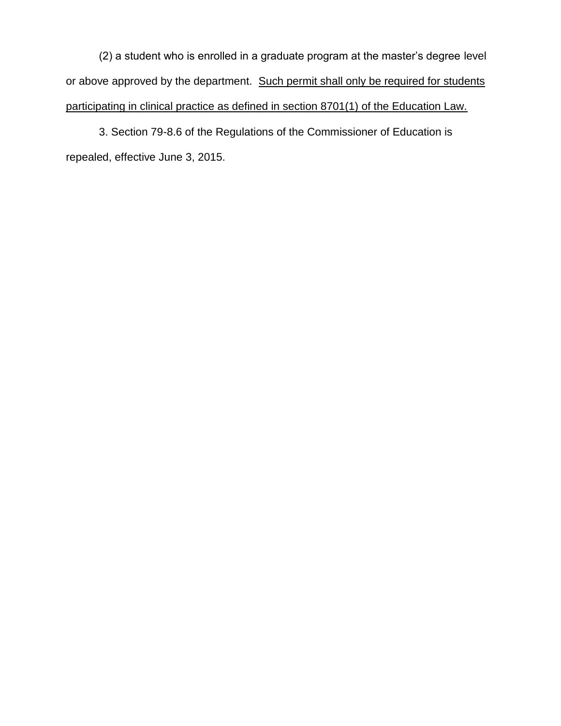(2) a student who is enrolled in a graduate program at the master's degree level or above approved by the department. Such permit shall only be required for students participating in clinical practice as defined in section 8701(1) of the Education Law.

3. Section 79-8.6 of the Regulations of the Commissioner of Education is repealed, effective June 3, 2015.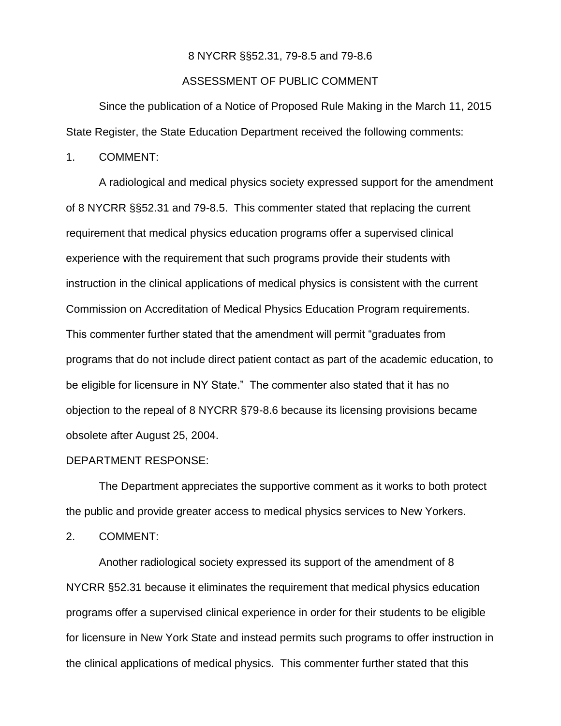#### 8 NYCRR §§52.31, 79-8.5 and 79-8.6

#### ASSESSMENT OF PUBLIC COMMENT

Since the publication of a Notice of Proposed Rule Making in the March 11, 2015 State Register, the State Education Department received the following comments:

1. COMMENT:

A radiological and medical physics society expressed support for the amendment of 8 NYCRR §§52.31 and 79-8.5. This commenter stated that replacing the current requirement that medical physics education programs offer a supervised clinical experience with the requirement that such programs provide their students with instruction in the clinical applications of medical physics is consistent with the current Commission on Accreditation of Medical Physics Education Program requirements. This commenter further stated that the amendment will permit "graduates from programs that do not include direct patient contact as part of the academic education, to be eligible for licensure in NY State." The commenter also stated that it has no objection to the repeal of 8 NYCRR §79-8.6 because its licensing provisions became obsolete after August 25, 2004.

#### DEPARTMENT RESPONSE:

The Department appreciates the supportive comment as it works to both protect the public and provide greater access to medical physics services to New Yorkers.

2. COMMENT:

Another radiological society expressed its support of the amendment of 8 NYCRR §52.31 because it eliminates the requirement that medical physics education programs offer a supervised clinical experience in order for their students to be eligible for licensure in New York State and instead permits such programs to offer instruction in the clinical applications of medical physics. This commenter further stated that this